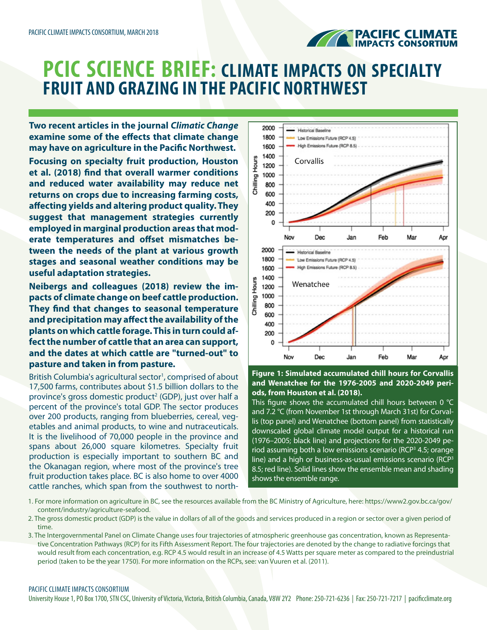

## **PCIC SCIENCE BRIEF: CLIMATE IMPACTS ON SPECIALTY FRUIT AND GRAZING IN THE PACIFIC NORTHWEST**

**Two recent articles in the journal** *Climatic Change* **examine some of the effects that climate change may have on agriculture in the Pacific Northwest.**

**Focusing on specialty fruit production, Houston et al. (2018) find that overall warmer conditions and reduced water availability may reduce net returns on crops due to increasing farming costs, affecting yields and altering product quality. They suggest that management strategies currently employed in marginal production areas that moderate temperatures and offset mismatches between the needs of the plant at various growth stages and seasonal weather conditions may be useful adaptation strategies.**

**Neibergs and colleagues (2018) review the impacts of climate change on beef cattle production. They find that changes to seasonal temperature and precipitation may affect the availability of the plants on which cattle forage. This in turn could affect the number of cattle that an area can support, and the dates at which cattle are "turned-out" to pasture and taken in from pasture.**

British Columbia's agricultural sector<sup>1</sup>, comprised of about 17,500 farms, contributes about \$1.5 billion dollars to the province's gross domestic product<sup>2</sup> (GDP), just over half a percent of the province's total GDP. The sector produces over 200 products, ranging from blueberries, cereal, vegetables and animal products, to wine and nutraceuticals. It is the livelihood of 70,000 people in the province and spans about 26,000 square kilometres. Specialty fruit production is especially important to southern BC and the Okanagan region, where most of the province's tree fruit production takes place. BC is also home to over 4000 cattle ranches, which span from the southwest to north-



**Figure 1: Simulated accumulated chill hours for Corvallis and Wenatchee for the 1976-2005 and 2020-2049 periods, from Houston et al. (2018).** 

This figure shows the accumulated chill hours between  $0^{\circ}C$ and 7.2 °C (from November 1st through March 31st) for Corvallis (top panel) and Wenatchee (bottom panel) from statistically downscaled global climate model output for a historical run (1976–2005; black line) and projections for the 2020-2049 period assuming both a low emissions scenario (RCP<sup>3</sup> 4.5; orange line) and a high or business-as-usual emissions scenario (RCP<sup>3</sup> 8.5; red line). Solid lines show the ensemble mean and shading shows the ensemble range.

- 1. For more information on agriculture in BC, see the resources available from the BC Ministry of Agriculture, here: https://www2.gov.bc.ca/gov/ content/industry/agriculture-seafood.
- 2. The gross domestic product (GDP) is the value in dollars of all of the goods and services produced in a region or sector over a given period of time.
- 3. The Intergovernmental Panel on Climate Change uses four trajectories of atmospheric greenhouse gas concentration, known as Representative Concentration Pathways (RCP) for its Fifth Assessment Report. The four trajectories are denoted by the change to radiative forcings that would result from each concentration, e.g. RCP 4.5 would result in an increase of 4.5 Watts per square meter as compared to the preindustrial period (taken to be the year 1750). For more information on the RCPs, see: van Vuuren et al. (2011).

## PACIFIC CLIMATE IMPACTS CONSORTIUM

University House 1, PO Box 1700, STN CSC, University of Victoria, Victoria, British Columbia, Canada, V8W 2Y2 Phone: 250-721-6236 | Fax: 250-721-7217 | pacificclimate.org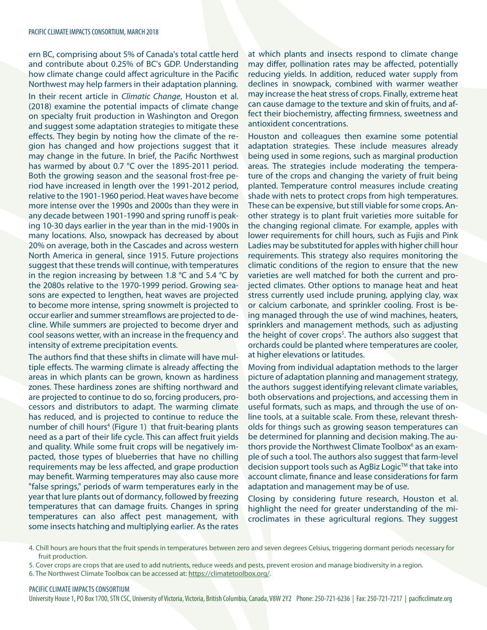ern BC, comprising about 5% of Canada's total cattle herd and contribute about 0.25% of BC's GDP. Understanding how climate change could affect agriculture in the Pacific Northwest may help farmers in their adaptation planning. In their recent article in *Climatic Change*, Houston et al. (2018) examine the potential impacts of climate change on specialty fruit production in Washington and Oregon and suggest some adaptation strategies to mitigate these effects. They begin by noting how the climate of the region has changed and how projections suggest that it may change in the future. In brief, the Pacific Northwest has warmed by about 0.7 °C over the 1895-2011 period. Both the growing season and the seasonal frost-free period have increased in length over the 1991-2012 period, relative to the 1901-1960 period. Heat waves have become more intense over the 1990s and 2000s than they were in any decade between 1901-1990 and spring runoff is peaking 10-30 days earlier in the year than in the mid-1900s in many locations. Also, snowpack has decreased by about 20% on average, both in the Cascades and across western North America in general, since 1915. Future projections suggest that these trends will continue, with temperatures in the region increasing by between 1.8 °C and 5.4 °C by the 2080s relative to the 1970-1999 period. Growing seasons are expected to lengthen, heat waves are projected to become more intense, spring snowmelt is projected to occur earlier and summer streamflows are projected to decline. While summers are projected to become dryer and cool seasons wetter, with an increase in the frequency and intensity of extreme precipitation events.

The authors find that these shifts in climate will have multiple effects. The warming climate is already affecting the areas in which plants can be grown, known as hardiness zones. These hardiness zones are shifting northward and are projected to continue to do so, forcing producers, processors and distributors to adapt. The warming climate has reduced, and is projected to continue to reduce the number of chill hours<sup>4</sup> (Figure 1) that fruit-bearing plants need as a part of their life cycle. This can affect fruit yields and quality. While some fruit crops will be negatively impacted, those types of blueberries that have no chilling requirements may be less affected, and grape production may benefit. Warming temperatures may also cause more "false springs," periods of warm temperatures early in the year that lure plants out of dormancy, followed by freezing temperatures that can damage fruits. Changes in spring temperatures can also affect pest management, with some insects hatching and multiplying earlier. As the rates

at which plants and insects respond to climate change may differ, pollination rates may be affected, potentially reducing yields. In addition, reduced water supply from declines in snowpack, combined with warmer weather may increase the heat stress of crops. Finally, extreme heat can cause damage to the texture and skin of fruits, and affect their biochemistry, affecting firmness, sweetness and antioxident concentrations.

Houston and colleagues then examine some potential adaptation strategies. These include measures already being used in some regions, such as marginal production areas. The strategies include moderating the temperature of the crops and changing the variety of fruit being planted. Temperature control measures include creating shade with nets to protect crops from high temperatures. These can be expensive, but still viable for some crops. Another strategy is to plant fruit varieties more suitable for the changing regional climate. For example, apples with lower requirements for chill hours, such as Fujis and Pink Ladies may be substituted for apples with higher chill hour requirements. This strategy also requires monitoring the climatic conditions of the region to ensure that the new varieties are well matched for both the current and projected climates. Other options to manage heat and heat stress currently used include pruning, applying clay, wax or calcium carbonate, and sprinkler cooling. Frost is being managed through the use of wind machines, heaters, sprinklers and management methods, such as adjusting the height of cover crops<sup>5</sup>. The authors also suggest that orchards could be planted where temperatures are cooler, at higher elevations or latitudes.

Moving from individual adaptation methods to the larger picture of adaptation planning and management strategy, the authors suggest identifying relevant climate variables, both observations and projections, and accessing them in useful formats, such as maps, and through the use of online tools, at a suitable scale. From these, relevant thresholds for things such as growing season temperatures can be determined for planning and decision making. The authors provide the Northwest Climate Toolbox<sup>6</sup> as an example of such a tool. The authors also suggest that farm-level decision support tools such as AgBiz Logic™ that take into account climate, finance and lease considerations for farm adaptation and management may be of use.

Closing by considering future research, Houston et al. highlight the need for greater understanding of the microclimates in these agricultural regions. They suggest

4. Chill hours are hours that the fruit spends in temperatures between zero and seven degrees Celsius, triggering dormant periods necessary for fruit production.

5. Cover crops are crops that are used to add nutrients, reduce weeds and pests, prevent erosion and manage biodiversity in a region.

6. The Northwest Climate Toolbox can be accessed at:<https://climatetoolbox.org/>.

## PACIFIC CLIMATE IMPACTS CONSORTIUM

University House 1, PO Box 1700, STN CSC, University of Victoria, Victoria, British Columbia, Canada, V8W 2Y2 Phone: 250-721-6236 | Fax: 250-721-7217 | pacificclimate.org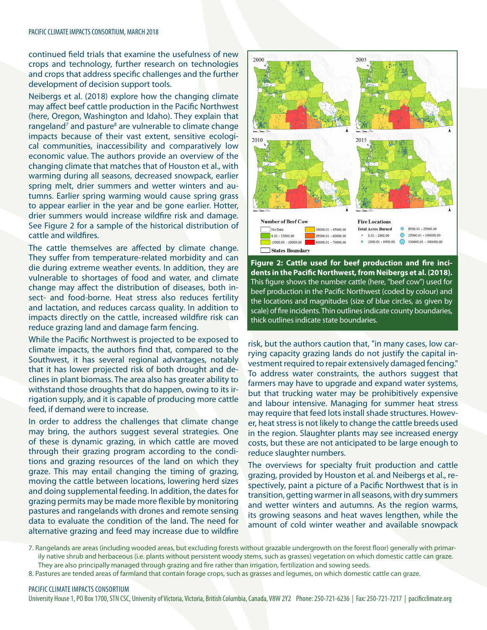continued field trials that examine the usefulness of new crops and technology, further research on technologies and crops that address specific challenges and the further development of decision support tools.

Neibergs et al. (2018) explore how the changing climate may affect beef cattle production in the Pacific Northwest (here, Oregon, Washington and Idaho). They explain that rangeland<sup>7</sup> and pasture<sup>8</sup> are vulnerable to climate change impacts because of their vast extent, sensitive ecological communities, inaccessibility and comparatively low economic value. The authors provide an overview of the changing climate that matches that of Houston et al., with warming during all seasons, decreased snowpack, earlier spring melt, drier summers and wetter winters and autumns. Earlier spring warming would cause spring grass to appear earlier in the year and be gone earlier. Hotter, drier summers would increase wildfire risk and damage. See Figure 2 for a sample of the historical distribution of cattle and wildfires.

The cattle themselves are affected by climate change. They suffer from temperature-related morbidity and can die during extreme weather events. In addition, they are vulnerable to shortages of food and water, and climate change may affect the distribution of diseases, both insect- and food-borne. Heat stress also reduces fertility and lactation, and reduces carcass quality. In addition to impacts directly on the cattle, increased wildfire risk can reduce grazing land and damage farm fencing.

While the Pacific Northwest is projected to be exposed to climate impacts, the authors find that, compared to the Southwest, it has several regional advantages, notably that it has lower projected risk of both drought and declines in plant biomass. The area also has greater ability to withstand those droughts that do happen, owing to its irrigation supply, and it is capable of producing more cattle feed, if demand were to increase.

In order to address the challenges that climate change may bring, the authors suggest several strategies. One of these is dynamic grazing, in which cattle are moved through their grazing program according to the conditions and grazing resources of the land on which they graze. This may entail changing the timing of grazing, moving the cattle between locations, lowering herd sizes and doing supplemental feeding. In addition, the dates for grazing permits may be made more flexible by monitoring pastures and rangelands with drones and remote sensing data to evaluate the condition of the land. The need for alternative grazing and feed may increase due to wildfire



**Figure 2: Cattle used for beef production and fire incidents in the Pacific Northwest, from Neibergs et al. (2018).**  This figure shows the number cattle (here, "beef cow") used for beef production in the Pacific Northwest (coded by colour) and the locations and magnitudes (size of blue circles, as given by scale) of fire incidents. Thin outlines indicate county boundaries, thick outlines indicate state boundaries.

risk, but the authors caution that, "in many cases, low carrying capacity grazing lands do not justify the capital investment required to repair extensively damaged fencing." To address water constraints, the authors suggest that farmers may have to upgrade and expand water systems, but that trucking water may be prohibitively expensive and labour intensive. Managing for summer heat stress may require that feed lots install shade structures. However, heat stress is not likely to change the cattle breeds used in the region. Slaughter plants may see increased energy costs, but these are not anticipated to be large enough to reduce slaughter numbers.

The overviews for specialty fruit production and cattle grazing, provided by Houston et al. and Neibergs et al., respectively, paint a picture of a Pacific Northwest that is in transition, getting warmer in all seasons, with dry summers and wetter winters and autumns. As the region warms, its growing seasons and heat waves lengthen, while the amount of cold winter weather and available snowpack

7. Rangelands are areas (including wooded areas, but excluding forests without grazable undergrowth on the forest floor) generally with primarily native shrub and herbaceous (i.e. plants without persistent woody stems, such as grasses) vegetation on which domestic cattle can graze. They are also principally managed through grazing and fire rather than irrigation, fertilization and sowing seeds.

8. Pastures are tended areas of farmland that contain forage crops, such as grasses and legumes, on which domestic cattle can graze.

## PACIFIC CLIMATE IMPACTS CONSORTIUM

University House 1, PO Box 1700, STN CSC, University of Victoria, Victoria, British Columbia, Canada, V8W 2Y2 Phone: 250-721-6236 | Fax: 250-721-7217 | pacificclimate.org